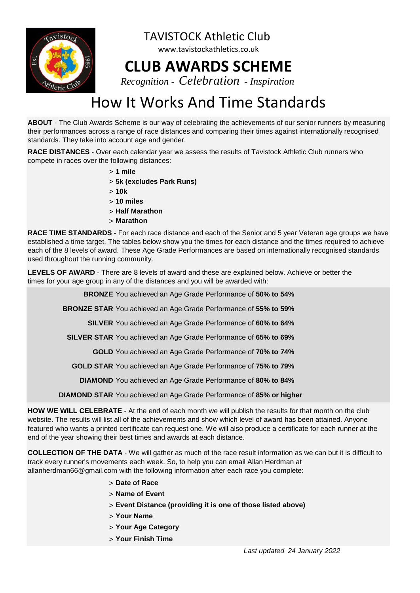

www.tavistockathletics.co.uk **CLUB AWARDS SCHEME**

TAVISTOCK Athletic Club

*Recognition - Celebration - Inspiration*

### How It Works And Time Standards

**ABOUT** - The Club Awards Scheme is our way of celebrating the achievements of our senior runners by measuring their performances across a range of race distances and comparing their times against internationally recognised standards. They take into account age and gender.

**RACE DISTANCES** - Over each calendar year we assess the results of Tavistock Athletic Club runners who compete in races over the following distances:

- > **1 mile**
- > **5k (excludes Park Runs)**
- > **10k**
- > **10 miles**
- > **Half Marathon**
- > **Marathon**

**RACE TIME STANDARDS** - For each race distance and each of the Senior and 5 year Veteran age groups we have established a time target. The tables below show you the times for each distance and the times required to achieve each of the 8 levels of award. These Age Grade Performances are based on internationally recognised standards used throughout the running community.

**LEVELS OF AWARD** - There are 8 levels of award and these are explained below. Achieve or better the times for your age group in any of the distances and you will be awarded with:

**BRONZE** You achieved an Age Grade Performance of 50% to 54%

BRONZE STAR You achieved an Age Grade Performance of 55% to 59%

**SILVER** You achieved an Age Grade Performance of **60% to 64%**

**SILVER STAR** You achieved an Age Grade Performance of 65% to 69%

GOLD You achieved an Age Grade Performance of 70% to 74%

GOLD STAR You achieved an Age Grade Performance of 75% to 79%

**DIAMOND** You achieved an Age Grade Performance of 80% to 84%

**DIAMOND STAR** You achieved an Age Grade Performance of **85% or higher**

**HOW WE WILL CELEBRATE** - At the end of each month we will publish the results for that month on the club website. The results will list all of the achievements and show which level of award has been attained. Anyone featured who wants a printed certificate can request one. We will also produce a certificate for each runner at the end of the year showing their best times and awards at each distance.

**COLLECTION OF THE DATA** - We will gather as much of the race result information as we can but it is difficult to track every runner's movements each week. So, to help you can email Allan Herdman at allanherdman66@gmail.com with the following information after each race you complete:

- > **Date of Race**
- > **Name of Event**
- > **Event Distance (providing it is one of those listed above)**
- > **Your Name**
- > **Your Age Category**
- > **Your Finish Time**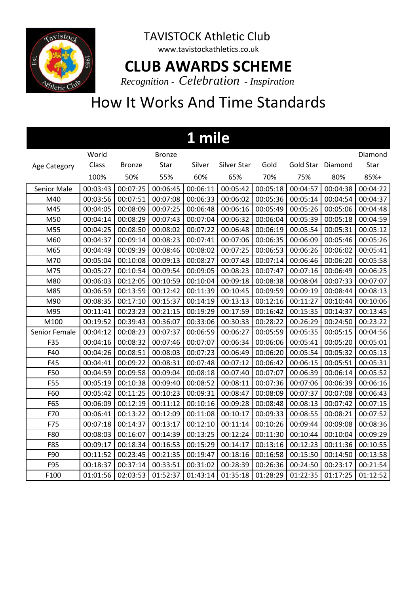

www.tavistockathletics.co.uk

#### **CLUB AWARDS SCHEME**

*Recognition - Celebration - Inspiration*

| 1 mile        |          |               |               |          |             |          |                   |          |          |  |  |
|---------------|----------|---------------|---------------|----------|-------------|----------|-------------------|----------|----------|--|--|
|               | World    |               | <b>Bronze</b> |          |             |          |                   |          | Diamond  |  |  |
| Age Category  | Class    | <b>Bronze</b> | Star          | Silver   | Silver Star | Gold     | Gold Star Diamond |          | Star     |  |  |
|               | 100%     | 50%           | 55%           | 60%      | 65%         | 70%      | 75%               | 80%      | 85%+     |  |  |
| Senior Male   | 00:03:43 | 00:07:25      | 00:06:45      | 00:06:11 | 00:05:42    | 00:05:18 | 00:04:57          | 00:04:38 | 00:04:22 |  |  |
| M40           | 00:03:56 | 00:07:51      | 00:07:08      | 00:06:33 | 00:06:02    | 00:05:36 | 00:05:14          | 00:04:54 | 00:04:37 |  |  |
| M45           | 00:04:05 | 00:08:09      | 00:07:25      | 00:06:48 | 00:06:16    | 00:05:49 | 00:05:26          | 00:05:06 | 00:04:48 |  |  |
| M50           | 00:04:14 | 00:08:29      | 00:07:43      | 00:07:04 | 00:06:32    | 00:06:04 | 00:05:39          | 00:05:18 | 00:04:59 |  |  |
| M55           | 00:04:25 | 00:08:50      | 00:08:02      | 00:07:22 | 00:06:48    | 00:06:19 | 00:05:54          | 00:05:31 | 00:05:12 |  |  |
| M60           | 00:04:37 | 00:09:14      | 00:08:23      | 00:07:41 | 00:07:06    | 00:06:35 | 00:06:09          | 00:05:46 | 00:05:26 |  |  |
| M65           | 00:04:49 | 00:09:39      | 00:08:46      | 00:08:02 | 00:07:25    | 00:06:53 | 00:06:26          | 00:06:02 | 00:05:41 |  |  |
| M70           | 00:05:04 | 00:10:08      | 00:09:13      | 00:08:27 | 00:07:48    | 00:07:14 | 00:06:46          | 00:06:20 | 00:05:58 |  |  |
| M75           | 00:05:27 | 00:10:54      | 00:09:54      | 00:09:05 | 00:08:23    | 00:07:47 | 00:07:16          | 00:06:49 | 00:06:25 |  |  |
| M80           | 00:06:03 | 00:12:05      | 00:10:59      | 00:10:04 | 00:09:18    | 00:08:38 | 00:08:04          | 00:07:33 | 00:07:07 |  |  |
| M85           | 00:06:59 | 00:13:59      | 00:12:42      | 00:11:39 | 00:10:45    | 00:09:59 | 00:09:19          | 00:08:44 | 00:08:13 |  |  |
| M90           | 00:08:35 | 00:17:10      | 00:15:37      | 00:14:19 | 00:13:13    | 00:12:16 | 00:11:27          | 00:10:44 | 00:10:06 |  |  |
| M95           | 00:11:41 | 00:23:23      | 00:21:15      | 00:19:29 | 00:17:59    | 00:16:42 | 00:15:35          | 00:14:37 | 00:13:45 |  |  |
| M100          | 00:19:52 | 00:39:43      | 00:36:07      | 00:33:06 | 00:30:33    | 00:28:22 | 00:26:29          | 00:24:50 | 00:23:22 |  |  |
| Senior Female | 00:04:12 | 00:08:23      | 00:07:37      | 00:06:59 | 00:06:27    | 00:05:59 | 00:05:35          | 00:05:15 | 00:04:56 |  |  |
| F35           | 00:04:16 | 00:08:32      | 00:07:46      | 00:07:07 | 00:06:34    | 00:06:06 | 00:05:41          | 00:05:20 | 00:05:01 |  |  |
| F40           | 00:04:26 | 00:08:51      | 00:08:03      | 00:07:23 | 00:06:49    | 00:06:20 | 00:05:54          | 00:05:32 | 00:05:13 |  |  |
| F45           | 00:04:41 | 00:09:22      | 00:08:31      | 00:07:48 | 00:07:12    | 00:06:42 | 00:06:15          | 00:05:51 | 00:05:31 |  |  |
| F50           | 00:04:59 | 00:09:58      | 00:09:04      | 00:08:18 | 00:07:40    | 00:07:07 | 00:06:39          | 00:06:14 | 00:05:52 |  |  |
| F55           | 00:05:19 | 00:10:38      | 00:09:40      | 00:08:52 | 00:08:11    | 00:07:36 | 00:07:06          | 00:06:39 | 00:06:16 |  |  |
| F60           | 00:05:42 | 00:11:25      | 00:10:23      | 00:09:31 | 00:08:47    | 00:08:09 | 00:07:37          | 00:07:08 | 00:06:43 |  |  |
| F65           | 00:06:09 | 00:12:19      | 00:11:12      | 00:10:16 | 00:09:28    | 00:08:48 | 00:08:13          | 00:07:42 | 00:07:15 |  |  |
| F70           | 00:06:41 | 00:13:22      | 00:12:09      | 00:11:08 | 00:10:17    | 00:09:33 | 00:08:55          | 00:08:21 | 00:07:52 |  |  |
| F75           | 00:07:18 | 00:14:37      | 00:13:17      | 00:12:10 | 00:11:14    | 00:10:26 | 00:09:44          | 00:09:08 | 00:08:36 |  |  |
| F80           | 00:08:03 | 00:16:07      | 00:14:39      | 00:13:25 | 00:12:24    | 00:11:30 | 00:10:44          | 00:10:04 | 00:09:29 |  |  |
| F85           | 00:09:17 | 00:18:34      | 00:16:53      | 00:15:29 | 00:14:17    | 00:13:16 | 00:12:23          | 00:11:36 | 00:10:55 |  |  |
| F90           | 00:11:52 | 00:23:45      | 00:21:35      | 00:19:47 | 00:18:16    | 00:16:58 | 00:15:50          | 00:14:50 | 00:13:58 |  |  |
| F95           | 00:18:37 | 00:37:14      | 00:33:51      | 00:31:02 | 00:28:39    | 00:26:36 | 00:24:50          | 00:23:17 | 00:21:54 |  |  |
| F100          | 01:01:56 | 02:03:53      | 01:52:37      | 01:43:14 | 01:35:18    | 01:28:29 | 01:22:35          | 01:17:25 | 01:12:52 |  |  |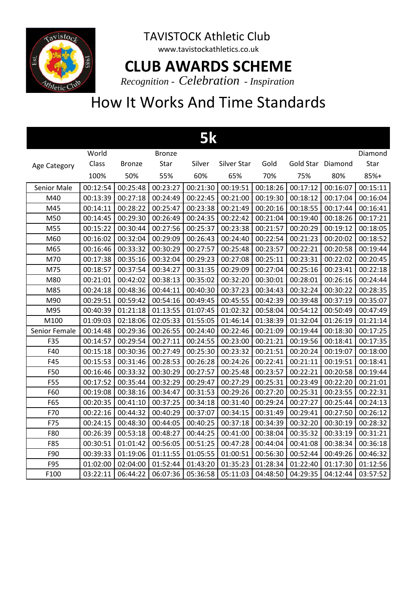

www.tavistockathletics.co.uk

### **CLUB AWARDS SCHEME**

*Recognition - Celebration - Inspiration*

| 5k               |          |               |               |          |             |          |                   |          |          |  |
|------------------|----------|---------------|---------------|----------|-------------|----------|-------------------|----------|----------|--|
|                  | World    |               | <b>Bronze</b> |          |             |          |                   |          | Diamond  |  |
| Age Category     | Class    | <b>Bronze</b> | Star          | Silver   | Silver Star | Gold     | Gold Star Diamond |          | Star     |  |
|                  | 100%     | 50%           | 55%           | 60%      | 65%         | 70%      | 75%               | 80%      | 85%+     |  |
| Senior Male      | 00:12:54 | 00:25:48      | 00:23:27      | 00:21:30 | 00:19:51    | 00:18:26 | 00:17:12          | 00:16:07 | 00:15:11 |  |
| M40              | 00:13:39 | 00:27:18      | 00:24:49      | 00:22:45 | 00:21:00    | 00:19:30 | 00:18:12          | 00:17:04 | 00:16:04 |  |
| M45              | 00:14:11 | 00:28:22      | 00:25:47      | 00:23:38 | 00:21:49    | 00:20:16 | 00:18:55          | 00:17:44 | 00:16:41 |  |
| M50              | 00:14:45 | 00:29:30      | 00:26:49      | 00:24:35 | 00:22:42    | 00:21:04 | 00:19:40          | 00:18:26 | 00:17:21 |  |
| M55              | 00:15:22 | 00:30:44      | 00:27:56      | 00:25:37 | 00:23:38    | 00:21:57 | 00:20:29          | 00:19:12 | 00:18:05 |  |
| M60              | 00:16:02 | 00:32:04      | 00:29:09      | 00:26:43 | 00:24:40    | 00:22:54 | 00:21:23          | 00:20:02 | 00:18:52 |  |
| M65              | 00:16:46 | 00:33:32      | 00:30:29      | 00:27:57 | 00:25:48    | 00:23:57 | 00:22:21          | 00:20:58 | 00:19:44 |  |
| M70              | 00:17:38 | 00:35:16      | 00:32:04      | 00:29:23 | 00:27:08    | 00:25:11 | 00:23:31          | 00:22:02 | 00:20:45 |  |
| M75              | 00:18:57 | 00:37:54      | 00:34:27      | 00:31:35 | 00:29:09    | 00:27:04 | 00:25:16          | 00:23:41 | 00:22:18 |  |
| M80              | 00:21:01 | 00:42:02      | 00:38:13      | 00:35:02 | 00:32:20    | 00:30:01 | 00:28:01          | 00:26:16 | 00:24:44 |  |
| M85              | 00:24:18 | 00:48:36      | 00:44:11      | 00:40:30 | 00:37:23    | 00:34:43 | 00:32:24          | 00:30:22 | 00:28:35 |  |
| M90              | 00:29:51 | 00:59:42      | 00:54:16      | 00:49:45 | 00:45:55    | 00:42:39 | 00:39:48          | 00:37:19 | 00:35:07 |  |
| M95              | 00:40:39 | 01:21:18      | 01:13:55      | 01:07:45 | 01:02:32    | 00:58:04 | 00:54:12          | 00:50:49 | 00:47:49 |  |
| M100             | 01:09:03 | 02:18:06      | 02:05:33      | 01:55:05 | 01:46:14    | 01:38:39 | 01:32:04          | 01:26:19 | 01:21:14 |  |
| Senior Female    | 00:14:48 | 00:29:36      | 00:26:55      | 00:24:40 | 00:22:46    | 00:21:09 | 00:19:44          | 00:18:30 | 00:17:25 |  |
| F35              | 00:14:57 | 00:29:54      | 00:27:11      | 00:24:55 | 00:23:00    | 00:21:21 | 00:19:56          | 00:18:41 | 00:17:35 |  |
| F40              | 00:15:18 | 00:30:36      | 00:27:49      | 00:25:30 | 00:23:32    | 00:21:51 | 00:20:24          | 00:19:07 | 00:18:00 |  |
| F45              | 00:15:53 | 00:31:46      | 00:28:53      | 00:26:28 | 00:24:26    | 00:22:41 | 00:21:11          | 00:19:51 | 00:18:41 |  |
| F50              | 00:16:46 | 00:33:32      | 00:30:29      | 00:27:57 | 00:25:48    | 00:23:57 | 00:22:21          | 00:20:58 | 00:19:44 |  |
| F55              | 00:17:52 | 00:35:44      | 00:32:29      | 00:29:47 | 00:27:29    | 00:25:31 | 00:23:49          | 00:22:20 | 00:21:01 |  |
| F60              | 00:19:08 | 00:38:16      | 00:34:47      | 00:31:53 | 00:29:26    | 00:27:20 | 00:25:31          | 00:23:55 | 00:22:31 |  |
| F65              | 00:20:35 | 00:41:10      | 00:37:25      | 00:34:18 | 00:31:40    | 00:29:24 | 00:27:27          | 00:25:44 | 00:24:13 |  |
| F70              | 00:22:16 | 00:44:32      | 00:40:29      | 00:37:07 | 00:34:15    | 00:31:49 | 00:29:41          | 00:27:50 | 00:26:12 |  |
| F75              | 00:24:15 | 00:48:30      | 00:44:05      | 00:40:25 | 00:37:18    | 00:34:39 | 00:32:20          | 00:30:19 | 00:28:32 |  |
| F80              | 00:26:39 | 00:53:18      | 00:48:27      | 00:44:25 | 00:41:00    | 00:38:04 | 00:35:32          | 00:33:19 | 00:31:21 |  |
| F85              | 00:30:51 | 01:01:42      | 00:56:05      | 00:51:25 | 00:47:28    | 00:44:04 | 00:41:08          | 00:38:34 | 00:36:18 |  |
| F90              | 00:39:33 | 01:19:06      | 01:11:55      | 01:05:55 | 01:00:51    | 00:56:30 | 00:52:44          | 00:49:26 | 00:46:32 |  |
| F95              | 01:02:00 | 02:04:00      | 01:52:44      | 01:43:20 | 01:35:23    | 01:28:34 | 01:22:40          | 01:17:30 | 01:12:56 |  |
| F <sub>100</sub> | 03:22:11 | 06:44:22      | 06:07:36      | 05:36:58 | 05:11:03    | 04:48:50 | 04:29:35          | 04:12:44 | 03:57:52 |  |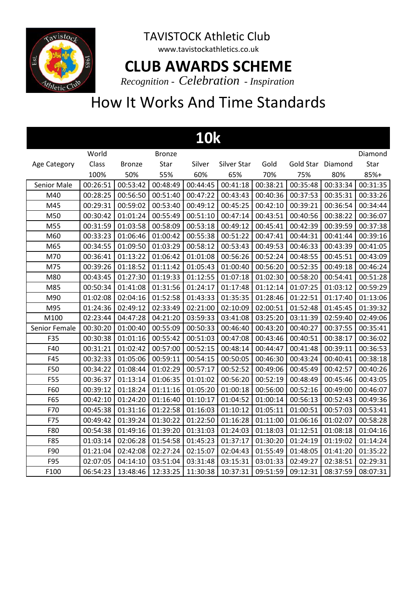

www.tavistockathletics.co.uk

#### **CLUB AWARDS SCHEME**

*Recognition - Celebration - Inspiration*

| <b>10k</b>         |          |               |               |          |             |          |                   |          |          |  |  |
|--------------------|----------|---------------|---------------|----------|-------------|----------|-------------------|----------|----------|--|--|
|                    | World    |               | <b>Bronze</b> |          |             |          |                   |          | Diamond  |  |  |
| Age Category       | Class    | <b>Bronze</b> | Star          | Silver   | Silver Star | Gold     | Gold Star Diamond |          | Star     |  |  |
|                    | 100%     | 50%           | 55%           | 60%      | 65%         | 70%      | 75%               | 80%      | 85%+     |  |  |
| <b>Senior Male</b> | 00:26:51 | 00:53:42      | 00:48:49      | 00:44:45 | 00:41:18    | 00:38:21 | 00:35:48          | 00:33:34 | 00:31:35 |  |  |
| M40                | 00:28:25 | 00:56:50      | 00:51:40      | 00:47:22 | 00:43:43    | 00:40:36 | 00:37:53          | 00:35:31 | 00:33:26 |  |  |
| M45                | 00:29:31 | 00:59:02      | 00:53:40      | 00:49:12 | 00:45:25    | 00:42:10 | 00:39:21          | 00:36:54 | 00:34:44 |  |  |
| M50                | 00:30:42 | 01:01:24      | 00:55:49      | 00:51:10 | 00:47:14    | 00:43:51 | 00:40:56          | 00:38:22 | 00:36:07 |  |  |
| M55                | 00:31:59 | 01:03:58      | 00:58:09      | 00:53:18 | 00:49:12    | 00:45:41 | 00:42:39          | 00:39:59 | 00:37:38 |  |  |
| M60                | 00:33:23 | 01:06:46      | 01:00:42      | 00:55:38 | 00:51:22    | 00:47:41 | 00:44:31          | 00:41:44 | 00:39:16 |  |  |
| M65                | 00:34:55 | 01:09:50      | 01:03:29      | 00:58:12 | 00:53:43    | 00:49:53 | 00:46:33          | 00:43:39 | 00:41:05 |  |  |
| M70                | 00:36:41 | 01:13:22      | 01:06:42      | 01:01:08 | 00:56:26    | 00:52:24 | 00:48:55          | 00:45:51 | 00:43:09 |  |  |
| M75                | 00:39:26 | 01:18:52      | 01:11:42      | 01:05:43 | 01:00:40    | 00:56:20 | 00:52:35          | 00:49:18 | 00:46:24 |  |  |
| M80                | 00:43:45 | 01:27:30      | 01:19:33      | 01:12:55 | 01:07:18    | 01:02:30 | 00:58:20          | 00:54:41 | 00:51:28 |  |  |
| M85                | 00:50:34 | 01:41:08      | 01:31:56      | 01:24:17 | 01:17:48    | 01:12:14 | 01:07:25          | 01:03:12 | 00:59:29 |  |  |
| M90                | 01:02:08 | 02:04:16      | 01:52:58      | 01:43:33 | 01:35:35    | 01:28:46 | 01:22:51          | 01:17:40 | 01:13:06 |  |  |
| M95                | 01:24:36 | 02:49:12      | 02:33:49      | 02:21:00 | 02:10:09    | 02:00:51 | 01:52:48          | 01:45:45 | 01:39:32 |  |  |
| M100               | 02:23:44 | 04:47:28      | 04:21:20      | 03:59:33 | 03:41:08    | 03:25:20 | 03:11:39          | 02:59:40 | 02:49:06 |  |  |
| Senior Female      | 00:30:20 | 01:00:40      | 00:55:09      | 00:50:33 | 00:46:40    | 00:43:20 | 00:40:27          | 00:37:55 | 00:35:41 |  |  |
| F35                | 00:30:38 | 01:01:16      | 00:55:42      | 00:51:03 | 00:47:08    | 00:43:46 | 00:40:51          | 00:38:17 | 00:36:02 |  |  |
| F40                | 00:31:21 | 01:02:42      | 00:57:00      | 00:52:15 | 00:48:14    | 00:44:47 | 00:41:48          | 00:39:11 | 00:36:53 |  |  |
| F45                | 00:32:33 | 01:05:06      | 00:59:11      | 00:54:15 | 00:50:05    | 00:46:30 | 00:43:24          | 00:40:41 | 00:38:18 |  |  |
| F50                | 00:34:22 | 01:08:44      | 01:02:29      | 00:57:17 | 00:52:52    | 00:49:06 | 00:45:49          | 00:42:57 | 00:40:26 |  |  |
| <b>F55</b>         | 00:36:37 | 01:13:14      | 01:06:35      | 01:01:02 | 00:56:20    | 00:52:19 | 00:48:49          | 00:45:46 | 00:43:05 |  |  |
| F60                | 00:39:12 | 01:18:24      | 01:11:16      | 01:05:20 | 01:00:18    | 00:56:00 | 00:52:16          | 00:49:00 | 00:46:07 |  |  |
| F65                | 00:42:10 | 01:24:20      | 01:16:40      | 01:10:17 | 01:04:52    | 01:00:14 | 00:56:13          | 00:52:43 | 00:49:36 |  |  |
| F70                | 00:45:38 | 01:31:16      | 01:22:58      | 01:16:03 | 01:10:12    | 01:05:11 | 01:00:51          | 00:57:03 | 00:53:41 |  |  |
| F75                | 00:49:42 | 01:39:24      | 01:30:22      | 01:22:50 | 01:16:28    | 01:11:00 | 01:06:16          | 01:02:07 | 00:58:28 |  |  |
| F80                | 00:54:38 | 01:49:16      | 01:39:20      | 01:31:03 | 01:24:03    | 01:18:03 | 01:12:51          | 01:08:18 | 01:04:16 |  |  |
| F85                | 01:03:14 | 02:06:28      | 01:54:58      | 01:45:23 | 01:37:17    | 01:30:20 | 01:24:19          | 01:19:02 | 01:14:24 |  |  |
| F90                | 01:21:04 | 02:42:08      | 02:27:24      | 02:15:07 | 02:04:43    | 01:55:49 | 01:48:05          | 01:41:20 | 01:35:22 |  |  |
| F95                | 02:07:05 | 04:14:10      | 03:51:04      | 03:31:48 | 03:15:31    | 03:01:33 | 02:49:27          | 02:38:51 | 02:29:31 |  |  |
| F100               | 06:54:23 | 13:48:46      | 12:33:25      | 11:30:38 | 10:37:31    | 09:51:59 | 09:12:31          | 08:37:59 | 08:07:31 |  |  |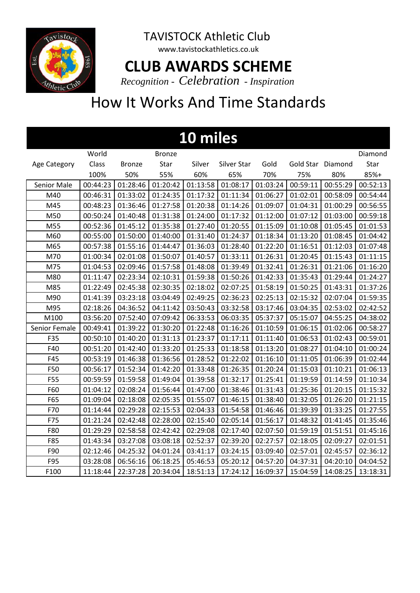

www.tavistockathletics.co.uk

#### **CLUB AWARDS SCHEME**

*Recognition - Celebration - Inspiration*

| 10 miles      |          |               |               |          |             |          |                   |          |          |  |  |
|---------------|----------|---------------|---------------|----------|-------------|----------|-------------------|----------|----------|--|--|
|               | World    |               | <b>Bronze</b> |          |             |          |                   |          | Diamond  |  |  |
| Age Category  | Class    | <b>Bronze</b> | Star          | Silver   | Silver Star | Gold     | Gold Star Diamond |          | Star     |  |  |
|               | 100%     | 50%           | 55%           | 60%      | 65%         | 70%      | 75%               | 80%      | 85%+     |  |  |
| Senior Male   | 00:44:23 | 01:28:46      | 01:20:42      | 01:13:58 | 01:08:17    | 01:03:24 | 00:59:11          | 00:55:29 | 00:52:13 |  |  |
| M40           | 00:46:31 | 01:33:02      | 01:24:35      | 01:17:32 | 01:11:34    | 01:06:27 | 01:02:01          | 00:58:09 | 00:54:44 |  |  |
| M45           | 00:48:23 | 01:36:46      | 01:27:58      | 01:20:38 | 01:14:26    | 01:09:07 | 01:04:31          | 01:00:29 | 00:56:55 |  |  |
| M50           | 00:50:24 | 01:40:48      | 01:31:38      | 01:24:00 | 01:17:32    | 01:12:00 | 01:07:12          | 01:03:00 | 00:59:18 |  |  |
| M55           | 00:52:36 | 01:45:12      | 01:35:38      | 01:27:40 | 01:20:55    | 01:15:09 | 01:10:08          | 01:05:45 | 01:01:53 |  |  |
| M60           | 00:55:00 | 01:50:00      | 01:40:00      | 01:31:40 | 01:24:37    | 01:18:34 | 01:13:20          | 01:08:45 | 01:04:42 |  |  |
| M65           | 00:57:38 | 01:55:16      | 01:44:47      | 01:36:03 | 01:28:40    | 01:22:20 | 01:16:51          | 01:12:03 | 01:07:48 |  |  |
| M70           | 01:00:34 | 02:01:08      | 01:50:07      | 01:40:57 | 01:33:11    | 01:26:31 | 01:20:45          | 01:15:43 | 01:11:15 |  |  |
| M75           | 01:04:53 | 02:09:46      | 01:57:58      | 01:48:08 | 01:39:49    | 01:32:41 | 01:26:31          | 01:21:06 | 01:16:20 |  |  |
| M80           | 01:11:47 | 02:23:34      | 02:10:31      | 01:59:38 | 01:50:26    | 01:42:33 | 01:35:43          | 01:29:44 | 01:24:27 |  |  |
| M85           | 01:22:49 | 02:45:38      | 02:30:35      | 02:18:02 | 02:07:25    | 01:58:19 | 01:50:25          | 01:43:31 | 01:37:26 |  |  |
| M90           | 01:41:39 | 03:23:18      | 03:04:49      | 02:49:25 | 02:36:23    | 02:25:13 | 02:15:32          | 02:07:04 | 01:59:35 |  |  |
| M95           | 02:18:26 | 04:36:52      | 04:11:42      | 03:50:43 | 03:32:58    | 03:17:46 | 03:04:35          | 02:53:02 | 02:42:52 |  |  |
| M100          | 03:56:20 | 07:52:40      | 07:09:42      | 06:33:53 | 06:03:35    | 05:37:37 | 05:15:07          | 04:55:25 | 04:38:02 |  |  |
| Senior Female | 00:49:41 | 01:39:22      | 01:30:20      | 01:22:48 | 01:16:26    | 01:10:59 | 01:06:15          | 01:02:06 | 00:58:27 |  |  |
| F35           | 00:50:10 | 01:40:20      | 01:31:13      | 01:23:37 | 01:17:11    | 01:11:40 | 01:06:53          | 01:02:43 | 00:59:01 |  |  |
| F40           | 00:51:20 | 01:42:40      | 01:33:20      | 01:25:33 | 01:18:58    | 01:13:20 | 01:08:27          | 01:04:10 | 01:00:24 |  |  |
| F45           | 00:53:19 | 01:46:38      | 01:36:56      | 01:28:52 | 01:22:02    | 01:16:10 | 01:11:05          | 01:06:39 | 01:02:44 |  |  |
| F50           | 00:56:17 | 01:52:34      | 01:42:20      | 01:33:48 | 01:26:35    | 01:20:24 | 01:15:03          | 01:10:21 | 01:06:13 |  |  |
| F55           | 00:59:59 | 01:59:58      | 01:49:04      | 01:39:58 | 01:32:17    | 01:25:41 | 01:19:59          | 01:14:59 | 01:10:34 |  |  |
| F60           | 01:04:12 | 02:08:24      | 01:56:44      | 01:47:00 | 01:38:46    | 01:31:43 | 01:25:36          | 01:20:15 | 01:15:32 |  |  |
| F65           | 01:09:04 | 02:18:08      | 02:05:35      | 01:55:07 | 01:46:15    | 01:38:40 | 01:32:05          | 01:26:20 | 01:21:15 |  |  |
| F70           | 01:14:44 | 02:29:28      | 02:15:53      | 02:04:33 | 01:54:58    | 01:46:46 | 01:39:39          | 01:33:25 | 01:27:55 |  |  |
| F75           | 01:21:24 | 02:42:48      | 02:28:00      | 02:15:40 | 02:05:14    | 01:56:17 | 01:48:32          | 01:41:45 | 01:35:46 |  |  |
| F80           | 01:29:29 | 02:58:58      | 02:42:42      | 02:29:08 | 02:17:40    | 02:07:50 | 01:59:19          | 01:51:51 | 01:45:16 |  |  |
| F85           | 01:43:34 | 03:27:08      | 03:08:18      | 02:52:37 | 02:39:20    | 02:27:57 | 02:18:05          | 02:09:27 | 02:01:51 |  |  |
| F90           | 02:12:46 | 04:25:32      | 04:01:24      | 03:41:17 | 03:24:15    | 03:09:40 | 02:57:01          | 02:45:57 | 02:36:12 |  |  |
| F95           | 03:28:08 | 06:56:16      | 06:18:25      | 05:46:53 | 05:20:12    | 04:57:20 | 04:37:31          | 04:20:10 | 04:04:52 |  |  |
| F100          | 11:18:44 | 22:37:28      | 20:34:04      | 18:51:13 | 17:24:12    | 16:09:37 | 15:04:59          | 14:08:25 | 13:18:31 |  |  |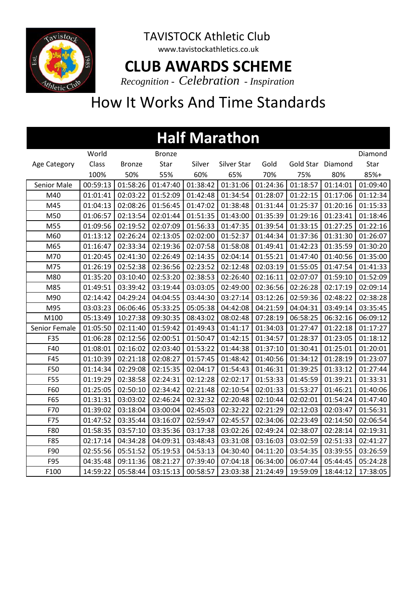

www.tavistockathletics.co.uk

#### **CLUB AWARDS SCHEME**

*Recognition - Celebration - Inspiration*

| <b>Half Marathon</b> |          |               |               |          |             |          |                   |          |          |  |  |
|----------------------|----------|---------------|---------------|----------|-------------|----------|-------------------|----------|----------|--|--|
|                      | World    |               | <b>Bronze</b> |          |             |          |                   |          | Diamond  |  |  |
| Age Category         | Class    | <b>Bronze</b> | Star          | Silver   | Silver Star | Gold     | Gold Star Diamond |          | Star     |  |  |
|                      | 100%     | 50%           | 55%           | 60%      | 65%         | 70%      | 75%               | 80%      | 85%+     |  |  |
| Senior Male          | 00:59:13 | 01:58:26      | 01:47:40      | 01:38:42 | 01:31:06    | 01:24:36 | 01:18:57          | 01:14:01 | 01:09:40 |  |  |
| M40                  | 01:01:41 | 02:03:22      | 01:52:09      | 01:42:48 | 01:34:54    | 01:28:07 | 01:22:15          | 01:17:06 | 01:12:34 |  |  |
| M45                  | 01:04:13 | 02:08:26      | 01:56:45      | 01:47:02 | 01:38:48    | 01:31:44 | 01:25:37          | 01:20:16 | 01:15:33 |  |  |
| M50                  | 01:06:57 | 02:13:54      | 02:01:44      | 01:51:35 | 01:43:00    | 01:35:39 | 01:29:16          | 01:23:41 | 01:18:46 |  |  |
| M55                  | 01:09:56 | 02:19:52      | 02:07:09      | 01:56:33 | 01:47:35    | 01:39:54 | 01:33:15          | 01:27:25 | 01:22:16 |  |  |
| M60                  | 01:13:12 | 02:26:24      | 02:13:05      | 02:02:00 | 01:52:37    | 01:44:34 | 01:37:36          | 01:31:30 | 01:26:07 |  |  |
| M65                  | 01:16:47 | 02:33:34      | 02:19:36      | 02:07:58 | 01:58:08    | 01:49:41 | 01:42:23          | 01:35:59 | 01:30:20 |  |  |
| M70                  | 01:20:45 | 02:41:30      | 02:26:49      | 02:14:35 | 02:04:14    | 01:55:21 | 01:47:40          | 01:40:56 | 01:35:00 |  |  |
| M75                  | 01:26:19 | 02:52:38      | 02:36:56      | 02:23:52 | 02:12:48    | 02:03:19 | 01:55:05          | 01:47:54 | 01:41:33 |  |  |
| M80                  | 01:35:20 | 03:10:40      | 02:53:20      | 02:38:53 | 02:26:40    | 02:16:11 | 02:07:07          | 01:59:10 | 01:52:09 |  |  |
| M85                  | 01:49:51 | 03:39:42      | 03:19:44      | 03:03:05 | 02:49:00    | 02:36:56 | 02:26:28          | 02:17:19 | 02:09:14 |  |  |
| M90                  | 02:14:42 | 04:29:24      | 04:04:55      | 03:44:30 | 03:27:14    | 03:12:26 | 02:59:36          | 02:48:22 | 02:38:28 |  |  |
| M95                  | 03:03:23 | 06:06:46      | 05:33:25      | 05:05:38 | 04:42:08    | 04:21:59 | 04:04:31          | 03:49:14 | 03:35:45 |  |  |
| M100                 | 05:13:49 | 10:27:38      | 09:30:35      | 08:43:02 | 08:02:48    | 07:28:19 | 06:58:25          | 06:32:16 | 06:09:12 |  |  |
| Senior Female        | 01:05:50 | 02:11:40      | 01:59:42      | 01:49:43 | 01:41:17    | 01:34:03 | 01:27:47          | 01:22:18 | 01:17:27 |  |  |
| F35                  | 01:06:28 | 02:12:56      | 02:00:51      | 01:50:47 | 01:42:15    | 01:34:57 | 01:28:37          | 01:23:05 | 01:18:12 |  |  |
| F40                  | 01:08:01 | 02:16:02      | 02:03:40      | 01:53:22 | 01:44:38    | 01:37:10 | 01:30:41          | 01:25:01 | 01:20:01 |  |  |
| F45                  | 01:10:39 | 02:21:18      | 02:08:27      | 01:57:45 | 01:48:42    | 01:40:56 | 01:34:12          | 01:28:19 | 01:23:07 |  |  |
| F50                  | 01:14:34 | 02:29:08      | 02:15:35      | 02:04:17 | 01:54:43    | 01:46:31 | 01:39:25          | 01:33:12 | 01:27:44 |  |  |
| F55                  | 01:19:29 | 02:38:58      | 02:24:31      | 02:12:28 | 02:02:17    | 01:53:33 | 01:45:59          | 01:39:21 | 01:33:31 |  |  |
| F60                  | 01:25:05 | 02:50:10      | 02:34:42      | 02:21:48 | 02:10:54    | 02:01:33 | 01:53:27          | 01:46:21 | 01:40:06 |  |  |
| F65                  | 01:31:31 | 03:03:02      | 02:46:24      | 02:32:32 | 02:20:48    | 02:10:44 | 02:02:01          | 01:54:24 | 01:47:40 |  |  |
| F70                  | 01:39:02 | 03:18:04      | 03:00:04      | 02:45:03 | 02:32:22    | 02:21:29 | 02:12:03          | 02:03:47 | 01:56:31 |  |  |
| F75                  | 01:47:52 | 03:35:44      | 03:16:07      | 02:59:47 | 02:45:57    | 02:34:06 | 02:23:49          | 02:14:50 | 02:06:54 |  |  |
| F80                  | 01:58:35 | 03:57:10      | 03:35:36      | 03:17:38 | 03:02:26    | 02:49:24 | 02:38:07          | 02:28:14 | 02:19:31 |  |  |
| F85                  | 02:17:14 | 04:34:28      | 04:09:31      | 03:48:43 | 03:31:08    | 03:16:03 | 03:02:59          | 02:51:33 | 02:41:27 |  |  |
| F90                  | 02:55:56 | 05:51:52      | 05:19:53      | 04:53:13 | 04:30:40    | 04:11:20 | 03:54:35          | 03:39:55 | 03:26:59 |  |  |
| F95                  | 04:35:48 | 09:11:36      | 08:21:27      | 07:39:40 | 07:04:18    | 06:34:00 | 06:07:44          | 05:44:45 | 05:24:28 |  |  |
| F100                 | 14:59:22 | 05:58:44      | 03:15:13      | 00:58:57 | 23:03:38    | 21:24:49 | 19:59:09          | 18:44:12 | 17:38:05 |  |  |